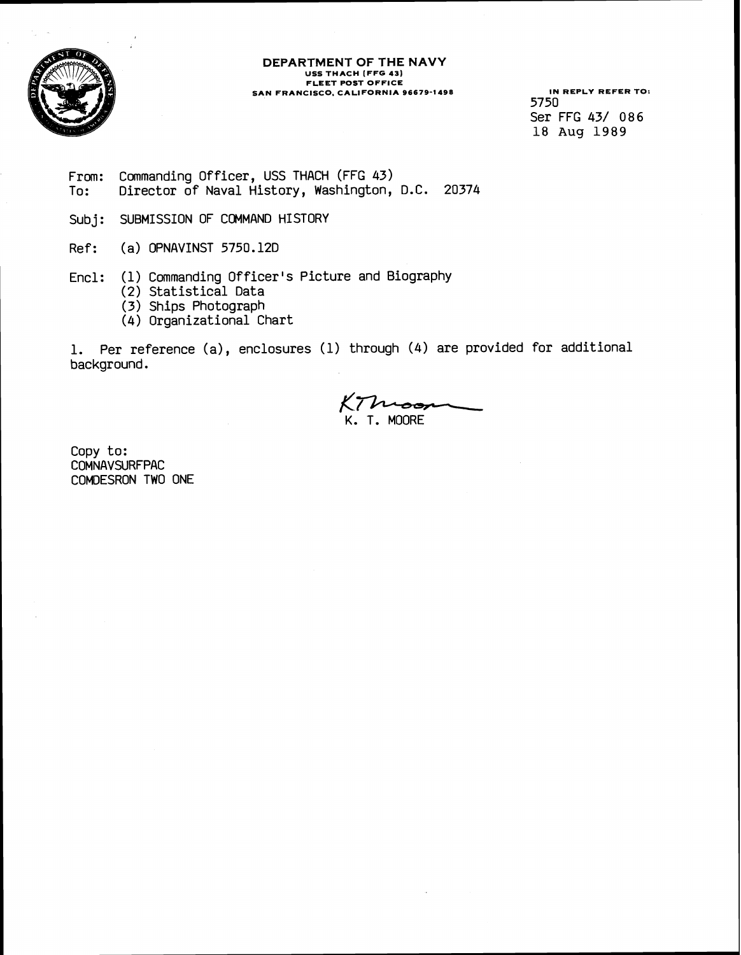

#### **DEPARTMENT OF THE NAVY USS THACH [FFG 49) FLEET POST OFFICE**  SAN FRANCISCO, CALIFORNIA 96679-1498 **IN REPLY REFER TO:**

5750 Ser FFG 43/ 086 **18 Aug 1989** 

From: Commanding Officer, USS THACH (FFG 43)<br>To: Director of Naval History, Washington, Director of Naval History, Washington, D.C. 20374

Subj: SUBMISSION OF COMMAND HISTORY

Ref: (a) OPNAVINST 5750.12D

Encl: (1) Commanding Officer's Picture and Biography

(2) Statistical Data

- (3) Ships Photograph
- (4) Organizational Chart

1. Per reference (a), enclosures (1) through (4) are provided for additional background.

*K-*K. T. MOORE

Copy to: COMNAVSURFPAC COMOESRON TWO ONE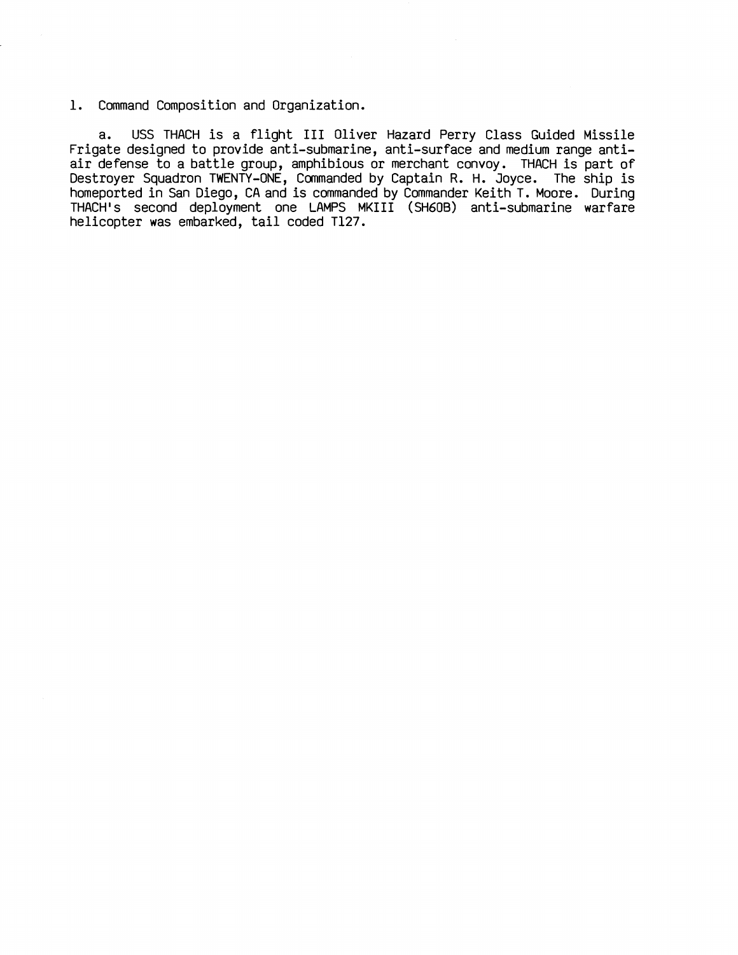1. Command Composition and Organization.

a. USS THACH is a flight I11 Oliver Hazard Perry Class Guided Missile Frigate designed to provide anti-submarine, anti-surface and medium range antiair defense to a battle group, amphibious or merchant convoy. THACH is part of Destroyer Squadron TWENTY-ONE, Commanded by Captain R. H. Joyce. The ship is homeported in San Diego, CA and is commanded by Commander Keith T. Moore. During THACH's second deployment one LAMPS MKIII (SH60B) anti-submarine warfare helicopter was embarked, tail coded T127.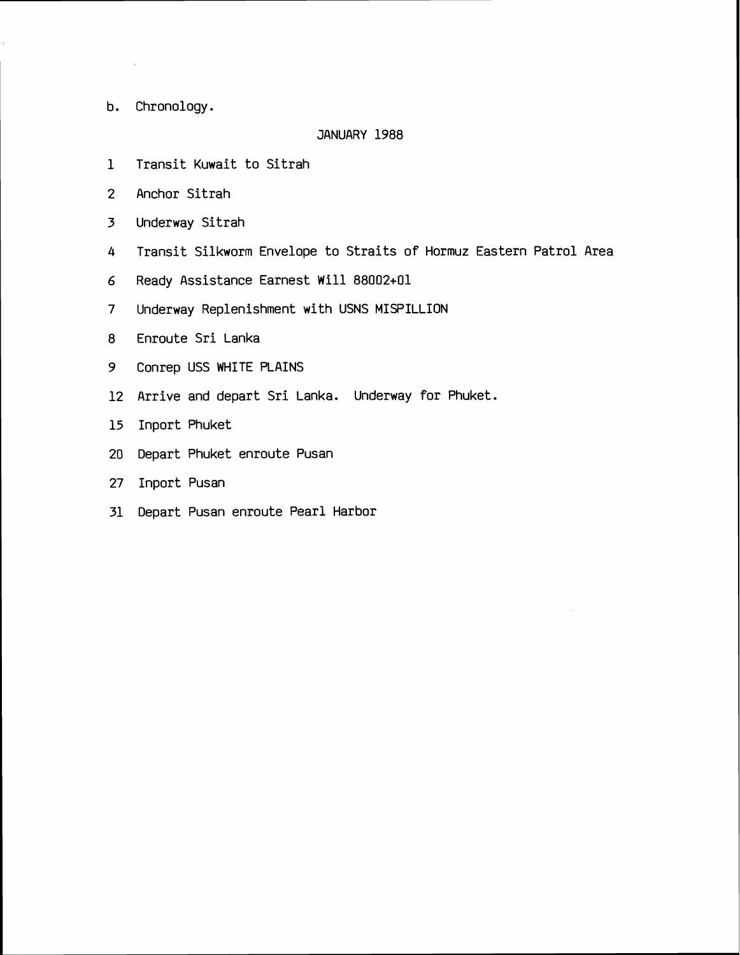b. Chronology.

 $\sim 10^{-11}$ 

#### JANUARY 1988

- $\mathbf{1}$ Transit Kuwait to Sitrah
- $2<sup>1</sup>$ Anchor Sitrah
- $\overline{3}$ Underway Sitrah
- $\overline{4}$ Transit Silkworm Envelope to Straits of Hormuz Eastern Patrol Area
- Ready Assistance Earnest Will 88002+01  $6 \overline{6}$
- $7<sup>1</sup>$ Underway Replenishment with USNS MISPILLION
- Enroute Sri Lanka 8
- Conrep USS WHITE PLAINS
- Arrive and depart Sri Lanka. Underway for Phuket.
- 15 Inport Phuket
- 20 Depart Phuket enroute Pusan
- 27 Inport Pusan
- 31 Depart Pusan enroute Pearl Harbor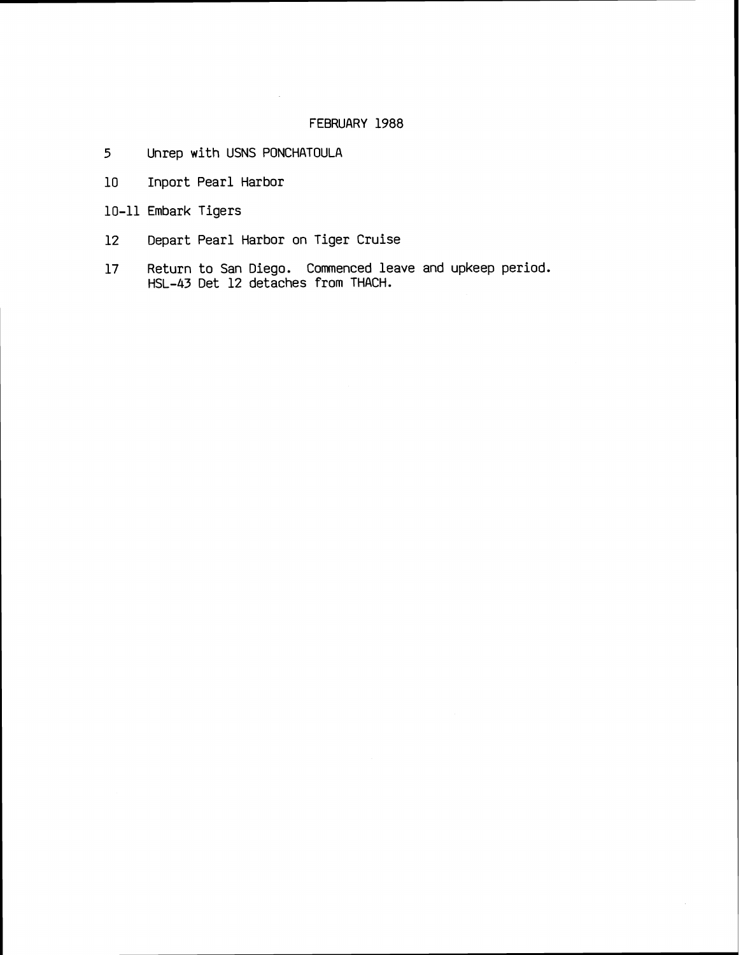### FEBRUARY 1988

- 5 Unrep with USNS PONCHATOULA
- 10 Inport Pearl Harbor
- 10-11 Embark Tigers
- 12 Depart Pearl Harbor on Tiger Cruise

 $\sim$ 

17 Return to San Diego. Commenced leave and upkeep period. HSL-43 Det 12 detaches from THACH.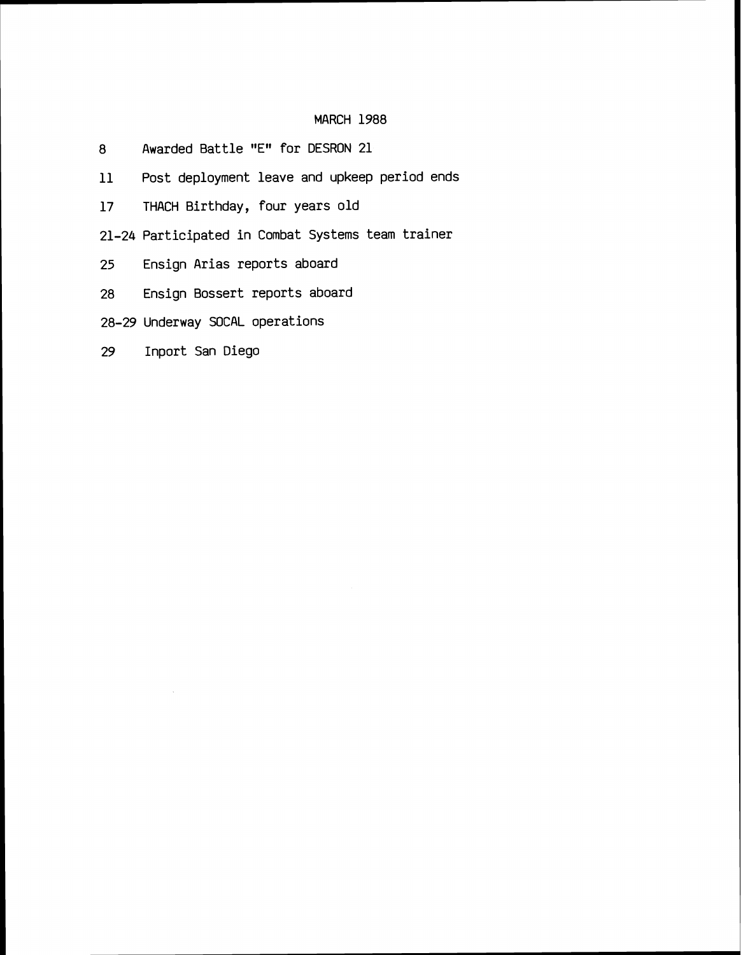#### MARCH 1988

- 8 Awarded Battle "E" for DESRON 21
- 11 Post deployment leave and upkeep period ends
- 17 THACH Birthday, four years old
- 21-24 Participated in Combat Systems team trainer
- 25 Ensign Arias reports aboard
- 28 Ensign Bossert reports aboard
- 28-29 Underway SOCAL operations
- 29 Inport San Diego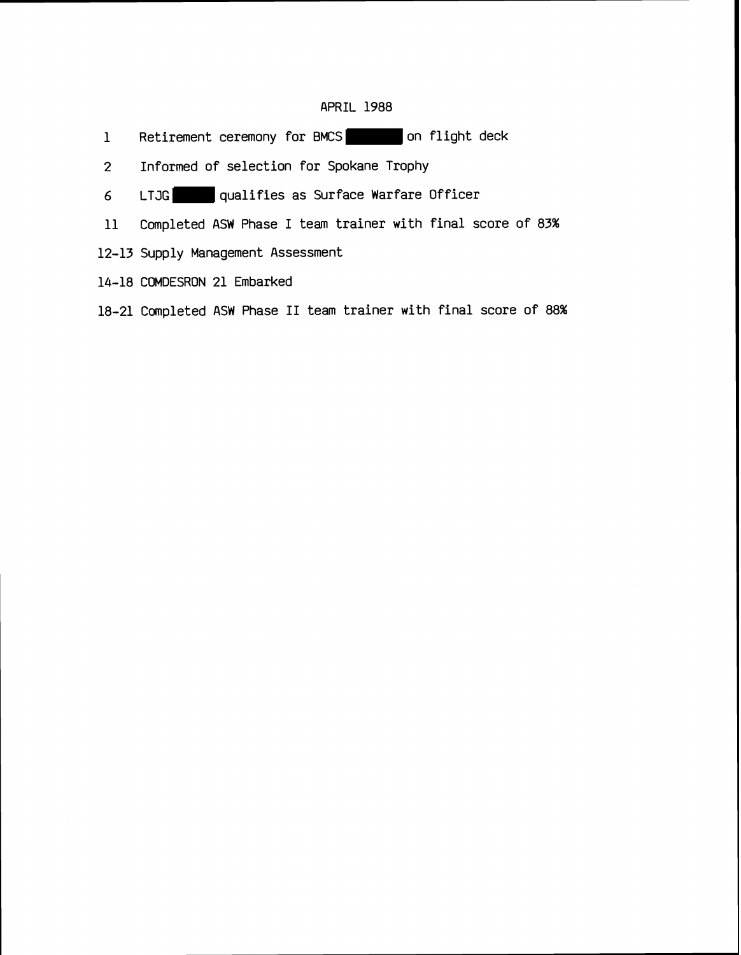### APRIL 1988

- 1 Retirement ceremony for BMCS on flight deck
- 2 Informed of selection for Spokane Trophy
- *6* LTJG qualifies as Surface Warfare Officer
- 11 Completed ASW Phase I team trainer with final score of 83%
- 12-13 Supply Management Assessment
- 14-18 COMDESRON 21 Embarked
- 18-21 Completed ASW Phase **I1** team trainer with final score of 88%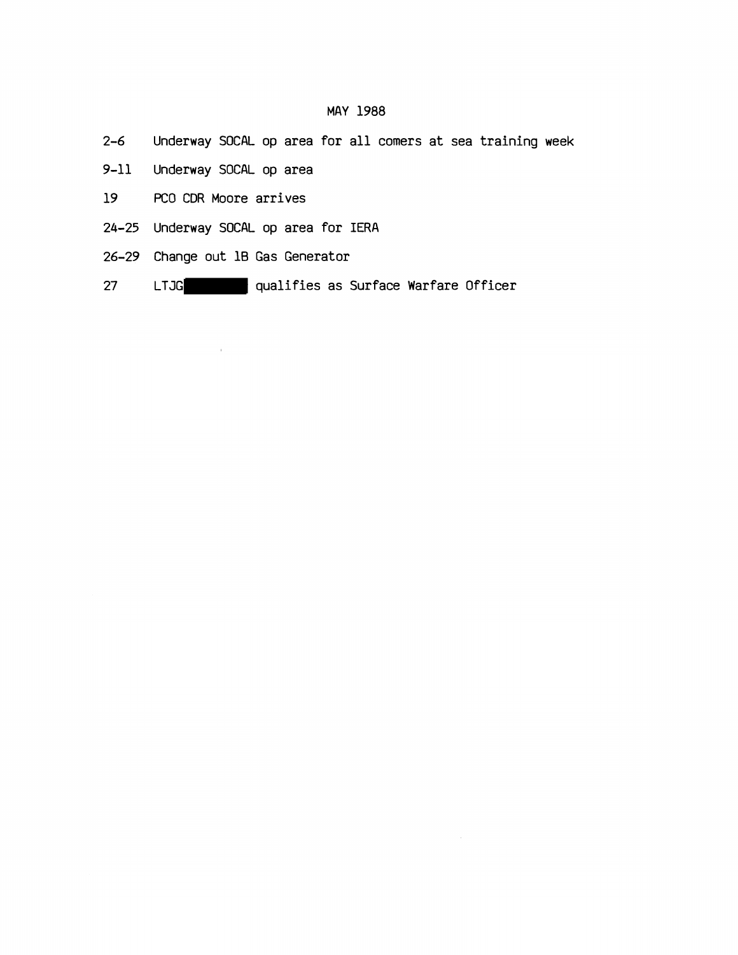### MAY 1988

- **2-6** Underway SOCAL op area for all comers at sea training week
- 9-11 Underway SOCAL op area
- 19 PC0 CDR Moore arrives
- 24-25 Underway SOCAL op area for IERA
- 26-29 Change out 1B Gas Generator

 $\alpha$  and  $\alpha$ 

27 LTJG qualifies as Surface Warfare Officer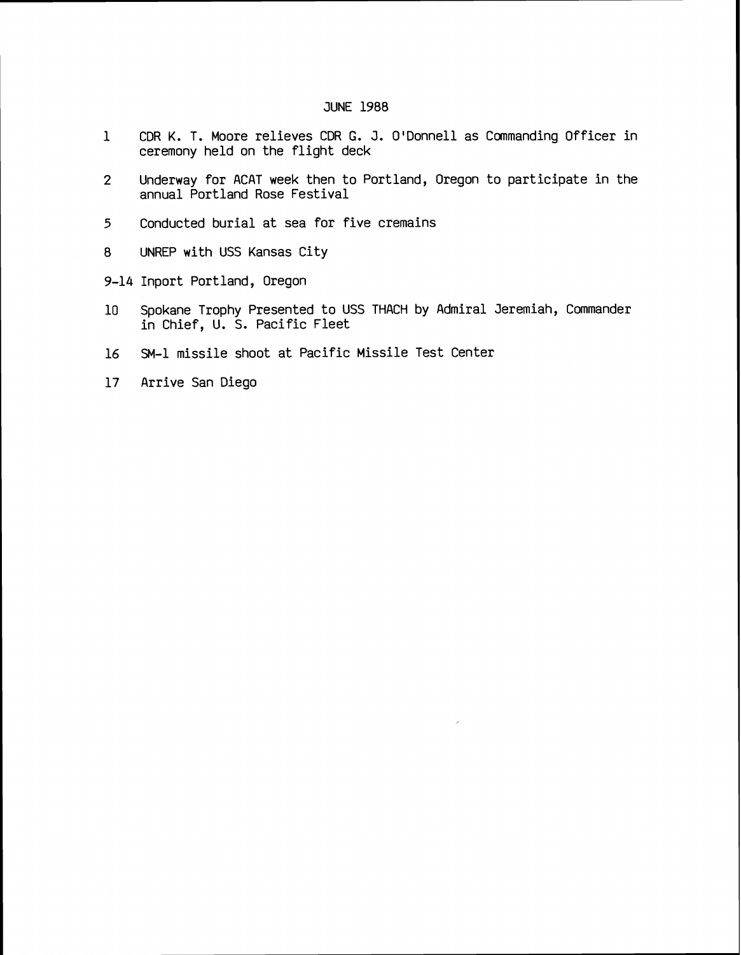#### JUNE 1988

- 1 CDR K. T. Moore relieves CDR G. J. O'Donnell as Commanding Officer in ceremony held on the flight deck
- 2 Underway for ACAT week then to Portland, Oregon to participate in the annual Portland Rose Festival
- **5** Conducted burial at sea for five cremains
- 8 UNREP with USS Kansas City
- 9-14 Inport Portland, Oregon
- 10 Spokane Trophy Presented to USS THACH by Admiral Jeremiah, Commander in Chief, U. S. Pacific Fleet
- 16 SM-1 missile shoot at Pacific Missile Test Center
- 17 Arrive San Diego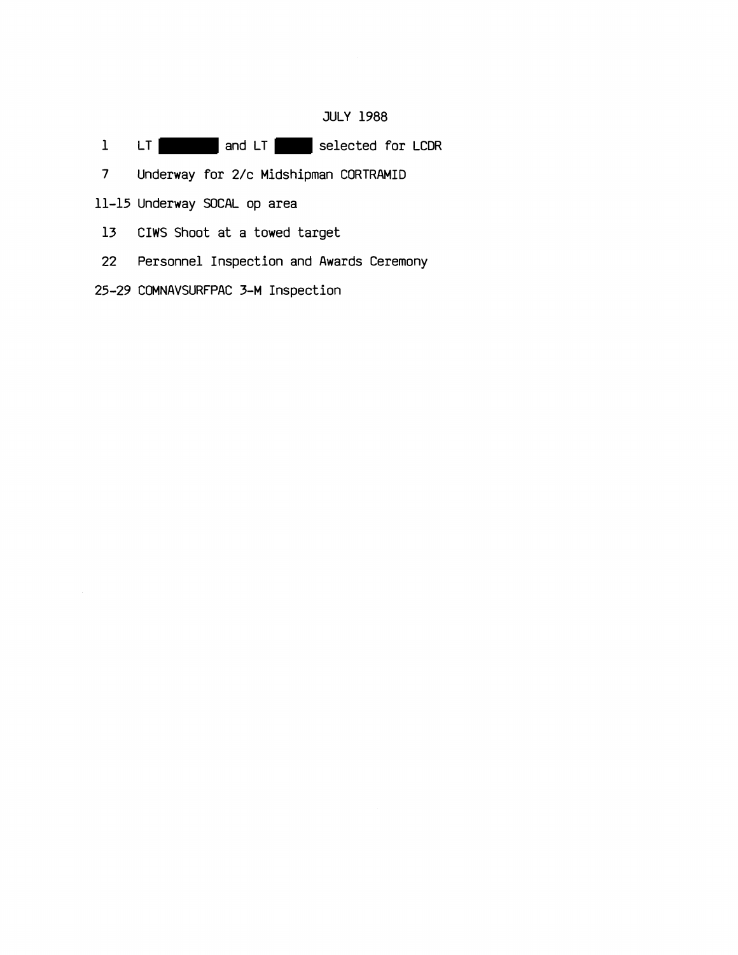# JULY 1988

- 1 LT and LT selected for LCDR
- 7 Underway for 2/c Midshipman CORTRAMID
- 11-15 Underway SOCAL op area
- 13 CIWS Shoot at a towed target
- 22 Personnel Inspection and Awards Ceremony
- 25-29 COMNAVSURFPAC 3-M Inspection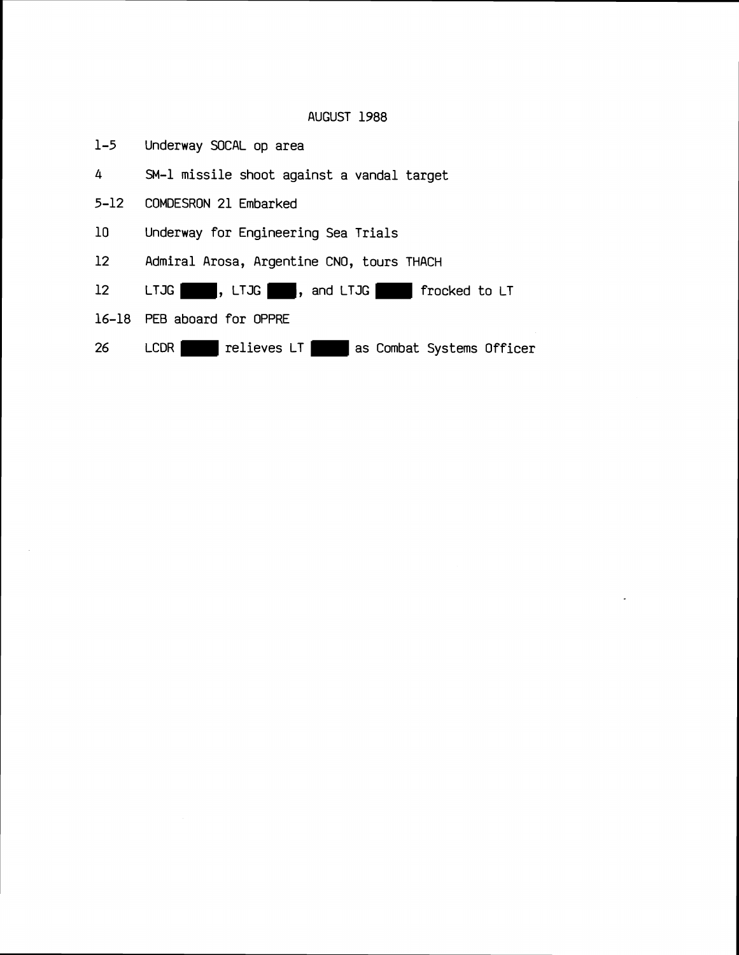## AUGUST 1988

| 1–5  | Underway SOCAL op area                             |
|------|----------------------------------------------------|
| 4    | SM-1 missile shoot against a vandal target         |
| 5–12 | COMDESRON 21 Embarked                              |
| 10   | Underway for Engineering Sea Trials                |
| 12   | Admiral Arosa, Argentine CNO, tours THACH          |
| 12   | , LTJG   , and LTJG   frocked to LT<br>LTJG I      |
|      | 16-18 PEB aboard for OPPRE                         |
| 26   | LCDR<br>relieves LT  <br>as Combat Systems Officer |

 $\sim 10^7$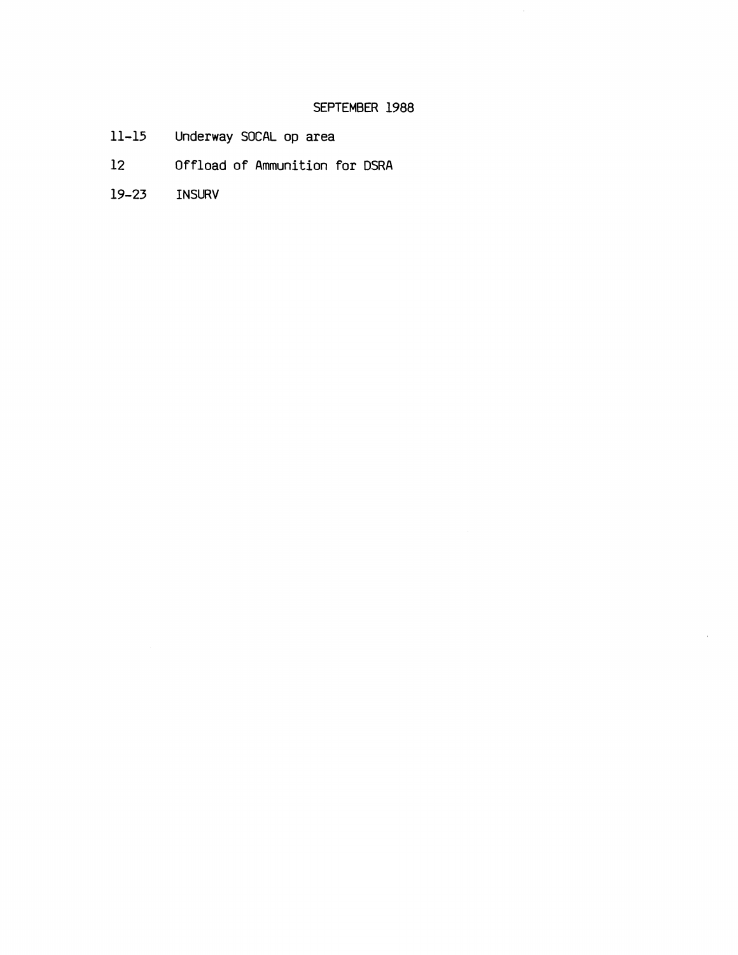# SEPTEMBER 1988

 $\mathcal{A}^{\mathcal{A}}$ 

- 11-15 Underway SOCAL op area
- 12 Offload of Ammunition for DSRA
- 19-23 INSURV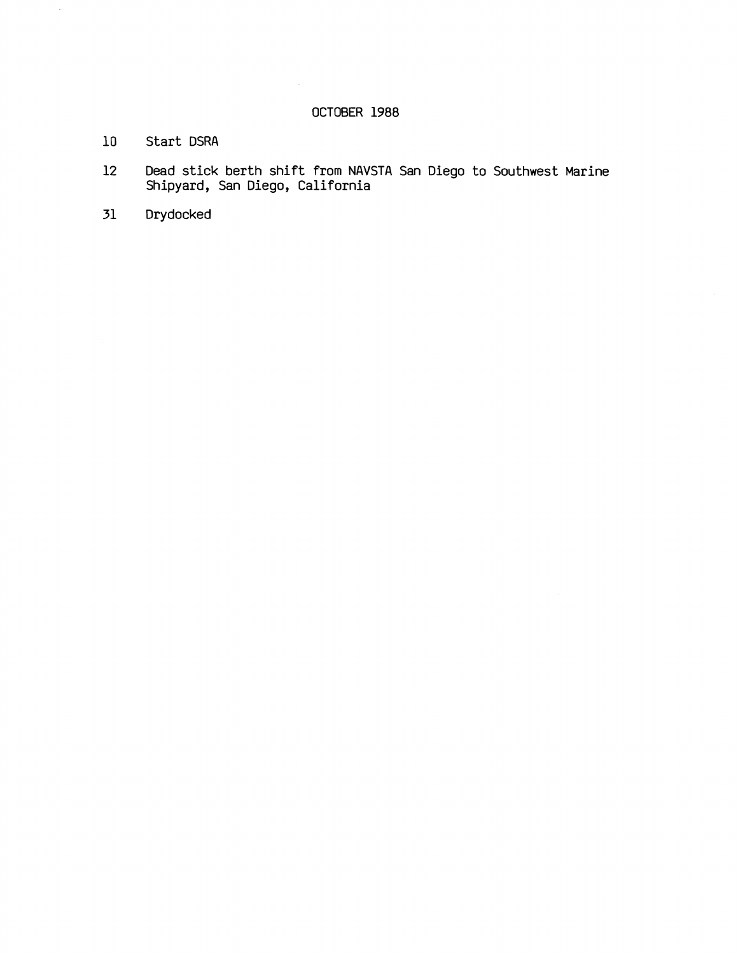### OCTOBER 1988

 $10$ Start DSRA

 $\bar{\gamma}$ 

- 12 Dead stick berth shift from NAVSTA San Diego to Southwest Marine Shipyard, San Diego, California
- 31 Drydocked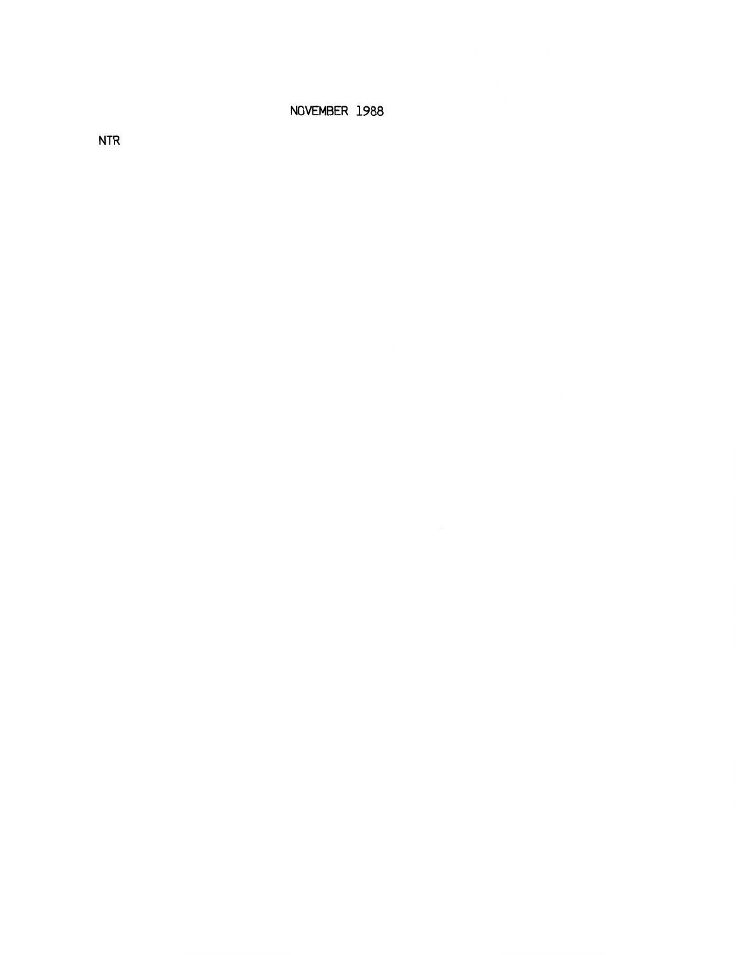NOVEMBER **1988** 

**NTR**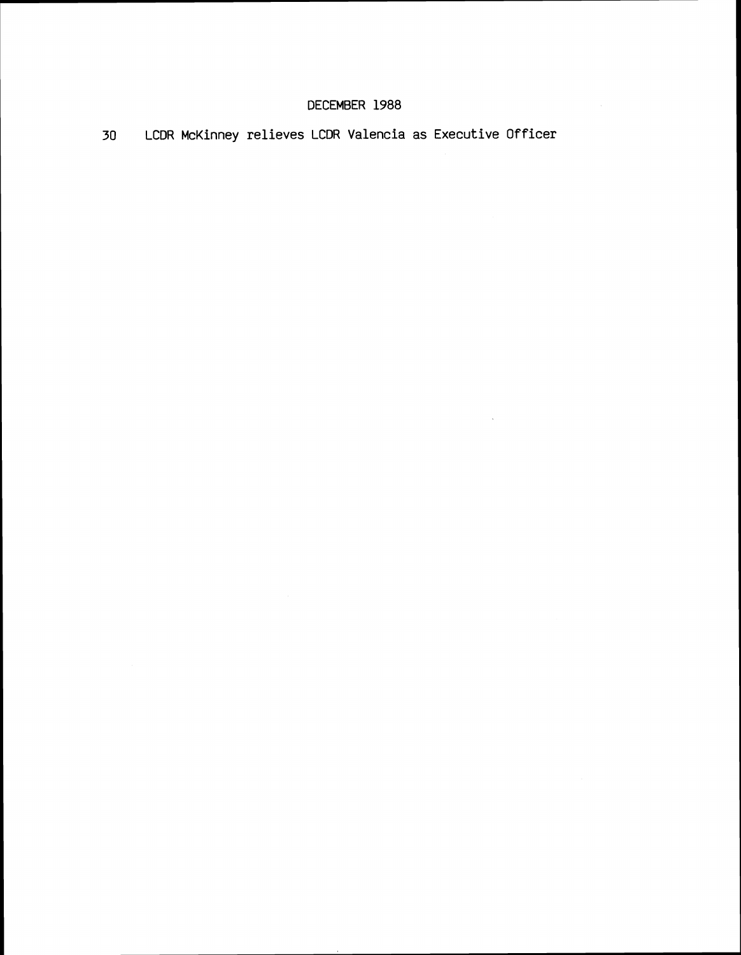# DECEMBER 1988

 $\sim$   $\sim$ 

**30** LCDR McKinney relieves LCDR Valencia as Executive Officer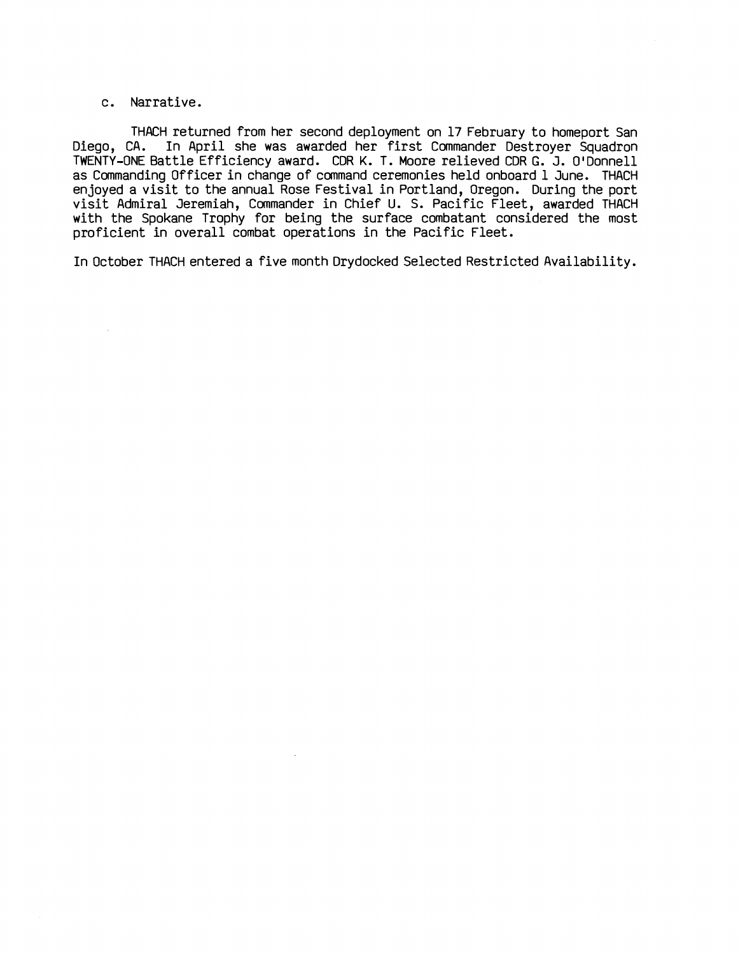#### c. Narrative.

 $\mathcal{L}$ 

THACH returned from her second deployment on 17 February to homeport San Diego, CA. In April she was awarded her first Commander Destroyer Squadron TWENTY-ONE Battle Efficiency award. CDR K. T. Moore relieved CDR G. J. O'Donnell as Commanding Officer in change of command ceremonies held onboard 1 June. THACH enjoyed a visit to the annual Rose Festival in Portland, Oregon. During the port visit Admiral Jeremiah, Commander in Chief U. S. Pacific Fleet, awarded THACH with the Spokane Trophy for being the surface combatant considered the most proficient in overall combat operations in the Pacific Fleet.

In October THACH entered a five month Drydocked Selected Restricted Availability.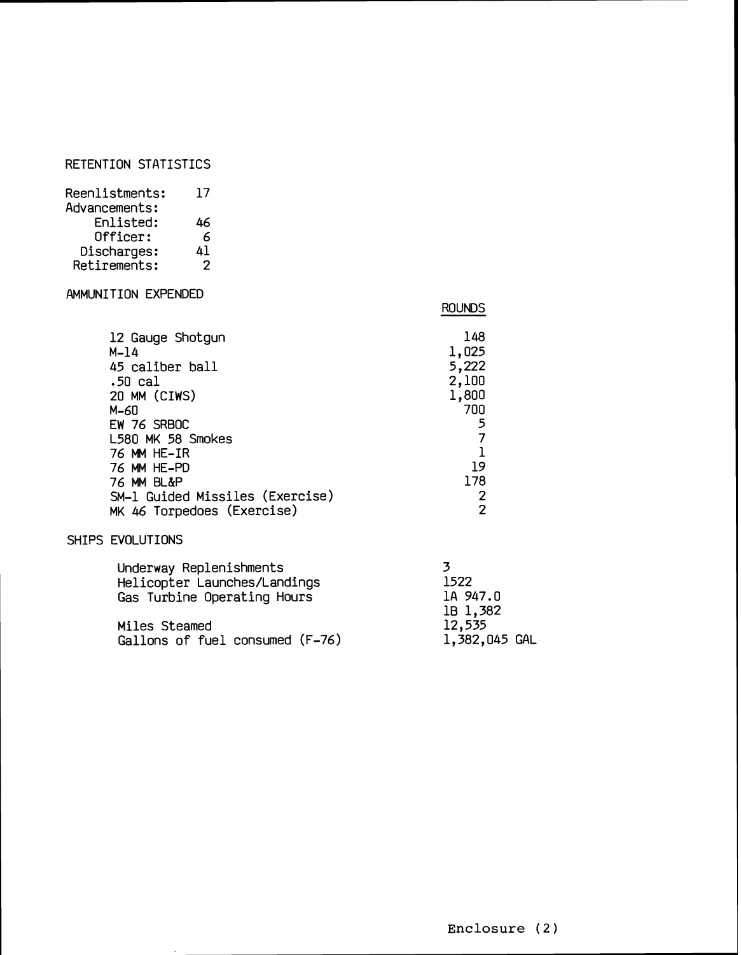# RETENTION STATISTICS

| Reenlistments: | 17 |
|----------------|----|
| Advancements:  |    |
| Enlisted:      | 46 |
| Officer:       | 6  |
| Discharges:    | 41 |
| Retirements:   | 2  |

# AMMUNITION EXPENDED

# ROUNDS

| 12 Gauge Shotgun                | 148            |
|---------------------------------|----------------|
| $M-14$                          | 1,025          |
| 45 caliber ball                 | 5,222          |
| .50 cal                         | 2,100          |
| 20 MM (CIWS)                    | 1,800          |
| $M - 60$                        | 700            |
| EW 76 SRBOC                     | 5              |
| L580 MK 58 Smokes               | 7              |
| 76 MM HE-IR                     | 1              |
| 76 MM HE-PD                     | 19             |
| 76 MM BL&P                      | 178            |
| SM-1 Guided Missiles (Exercise) | 2              |
| MK 46 Torpedoes (Exercise)      | $\overline{2}$ |
|                                 |                |

# SHIPS EVOLUTIONS

| Underway Replenishments         |               |
|---------------------------------|---------------|
| Helicopter Launches/Landings    | 1522          |
| Gas Turbine Operating Hours     | 1A 947.0      |
|                                 | 1B 1,382      |
| Miles Steamed                   | 12,535        |
| Gallons of fuel consumed (F-76) | 1,382,045 GAL |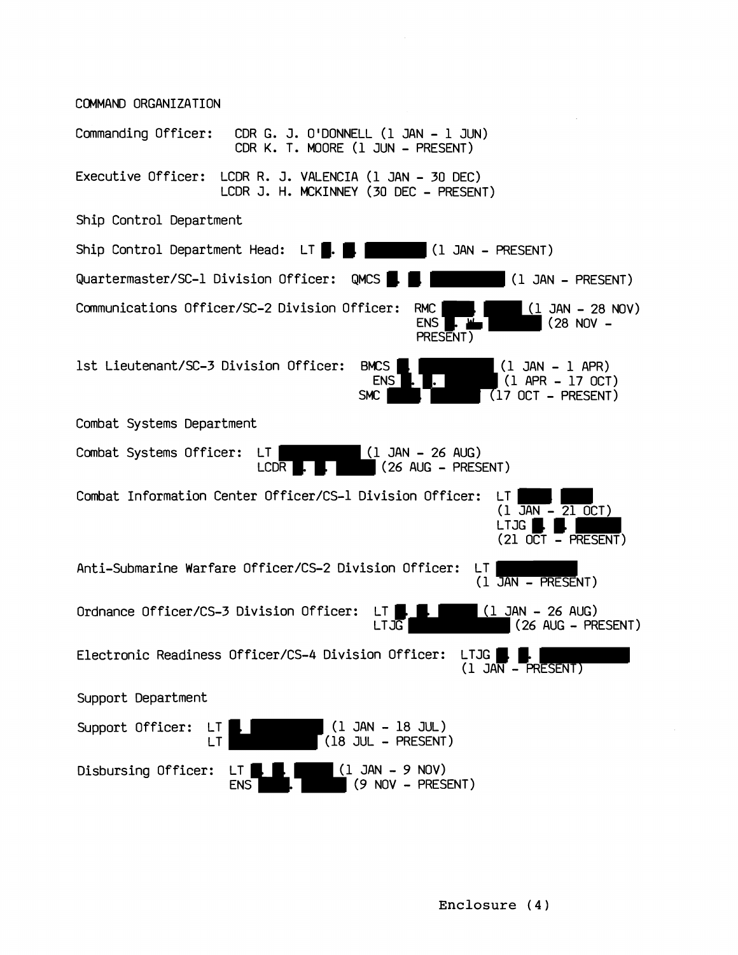